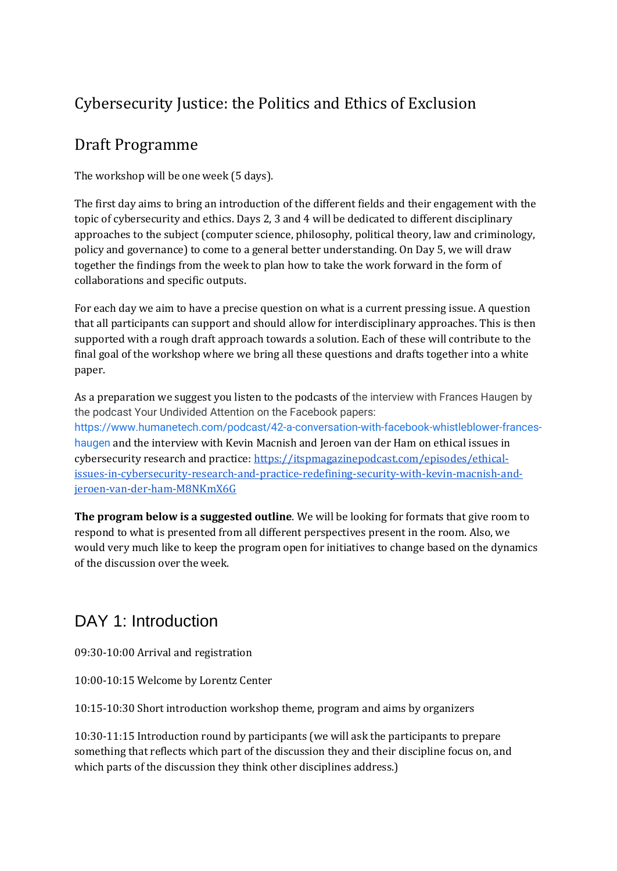## Cybersecurity Justice: the Politics and Ethics of Exclusion

#### Draft Programme

The workshop will be one week (5 days).

The first day aims to bring an introduction of the different fields and their engagement with the topic of cybersecurity and ethics. Days 2, 3 and 4 will be dedicated to different disciplinary approaches to the subject (computer science, philosophy, political theory, law and criminology, policy and governance) to come to a general better understanding. On Day 5, we will draw together the findings from the week to plan how to take the work forward in the form of collaborations and specific outputs.

For each day we aim to have a precise question on what is a current pressing issue. A question that all participants can support and should allow for interdisciplinary approaches. This is then supported with a rough draft approach towards a solution. Each of these will contribute to the final goal of the workshop where we bring all these questions and drafts together into a white paper.

As a preparation we suggest you listen to the podcasts of the interview with Frances Haugen by the podcast Your Undivided Attention on the Facebook papers: [https://www.humanetech.com/podcast/42-a-conversation-with-facebook-whistleblower-frances](https://www.humanetech.com/podcast/42-a-conversation-with-facebook-whistleblower-frances-haugen)[haugen](https://www.humanetech.com/podcast/42-a-conversation-with-facebook-whistleblower-frances-haugen) and the interview with Kevin Macnish and Jeroen van der Ham on ethical issues in cybersecurity research and practice: [https://itspmagazinepodcast.com/episodes/ethical](https://itspmagazinepodcast.com/episodes/ethical-issues-in-cybersecurity-research-and-practice-redefining-security-with-kevin-macnish-and-jeroen-van-der-ham-M8NKmX6G)[issues-in-cybersecurity-research-and-practice-redefining-security-with-kevin-macnish-and](https://itspmagazinepodcast.com/episodes/ethical-issues-in-cybersecurity-research-and-practice-redefining-security-with-kevin-macnish-and-jeroen-van-der-ham-M8NKmX6G)[jeroen-van-der-ham-M8NKmX6G](https://itspmagazinepodcast.com/episodes/ethical-issues-in-cybersecurity-research-and-practice-redefining-security-with-kevin-macnish-and-jeroen-van-der-ham-M8NKmX6G)

**The program below is a suggested outline**. We will be looking for formats that give room to respond to what is presented from all different perspectives present in the room. Also, we would very much like to keep the program open for initiatives to change based on the dynamics of the discussion over the week.

# DAY 1: Introduction

09:30-10:00 Arrival and registration

10:00-10:15 Welcome by Lorentz Center

10:15-10:30 Short introduction workshop theme, program and aims by organizers

10:30-11:15 Introduction round by participants (we will ask the participants to prepare something that reflects which part of the discussion they and their discipline focus on, and which parts of the discussion they think other disciplines address.)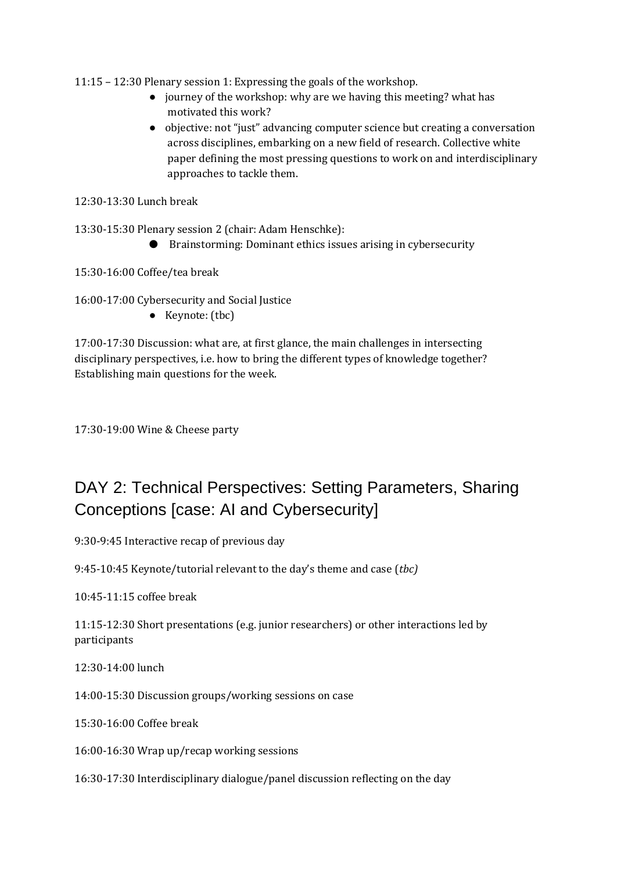11:15 – 12:30 Plenary session 1: Expressing the goals of the workshop.

- journey of the workshop: why are we having this meeting? what has motivated this work?
- objective: not "just" advancing computer science but creating a conversation across disciplines, embarking on a new field of research. Collective white paper defining the most pressing questions to work on and interdisciplinary approaches to tackle them.

12:30-13:30 Lunch break

13:30-15:30 Plenary session 2 (chair: Adam Henschke):

● Brainstorming: Dominant ethics issues arising in cybersecurity

15:30-16:00 Coffee/tea break

16:00-17:00 Cybersecurity and Social Justice

● Keynote: (tbc)

17:00-17:30 Discussion: what are, at first glance, the main challenges in intersecting disciplinary perspectives, i.e. how to bring the different types of knowledge together? Establishing main questions for the week.

17:30-19:00 Wine & Cheese party

## DAY 2: Technical Perspectives: Setting Parameters, Sharing Conceptions [case: AI and Cybersecurity]

9:30-9:45 Interactive recap of previous day

9:45-10:45 Keynote/tutorial relevant to the day's theme and case (*tbc)*

10:45-11:15 coffee break

11:15-12:30 Short presentations (e.g. junior researchers) or other interactions led by participants

12:30-14:00 lunch

14:00-15:30 Discussion groups/working sessions on case

15:30-16:00 Coffee break

16:00-16:30 Wrap up/recap working sessions

16:30-17:30 Interdisciplinary dialogue/panel discussion reflecting on the day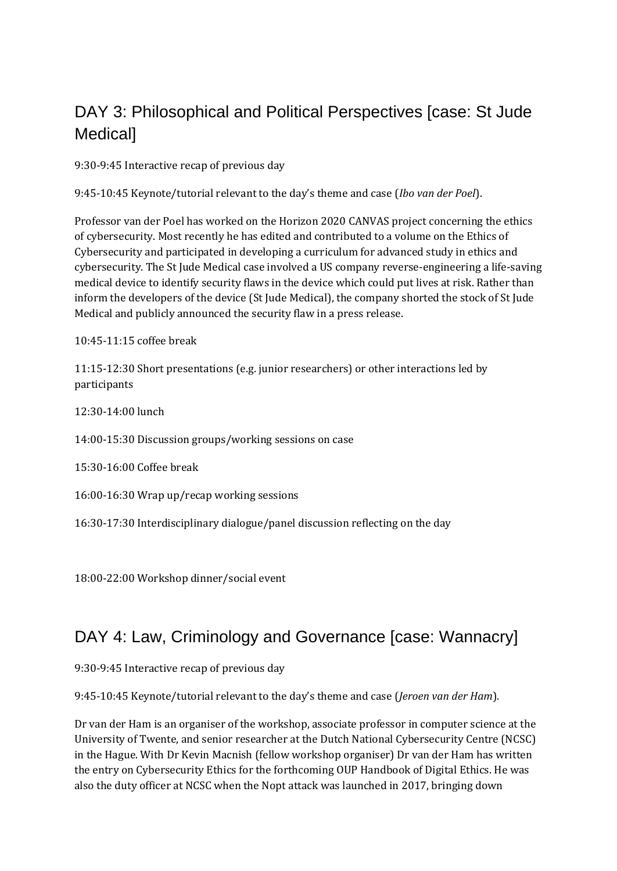## DAY 3: Philosophical and Political Perspectives [case: St Jude Medical]

9:30-9:45 Interactive recap of previous day

9:45-10:45 Keynote/tutorial relevant to the day's theme and case (*Ibo van der Poel*).

Professor van der Poel has worked on the Horizon 2020 CANVAS project concerning the ethics of cybersecurity. Most recently he has edited and contributed to a volume on the Ethics of Cybersecurity and participated in developing a curriculum for advanced study in ethics and cybersecurity. The St Jude Medical case involved a US company reverse-engineering a life-saving medical device to identify security flaws in the device which could put lives at risk. Rather than inform the developers of the device (St Jude Medical), the company shorted the stock of St Jude Medical and publicly announced the security flaw in a press release.

10:45-11:15 coffee break

11:15-12:30 Short presentations (e.g. junior researchers) or other interactions led by participants

12:30-14:00 lunch

14:00-15:30 Discussion groups/working sessions on case

15:30-16:00 Coffee break

16:00-16:30 Wrap up/recap working sessions

16:30-17:30 Interdisciplinary dialogue/panel discussion reflecting on the day

18:00-22:00 Workshop dinner/social event

#### DAY 4: Law, Criminology and Governance [case: Wannacry]

9:30-9:45 Interactive recap of previous day

9:45-10:45 Keynote/tutorial relevant to the day's theme and case (*Jeroen van der Ham*).

Dr van der Ham is an organiser of the workshop, associate professor in computer science at the University of Twente, and senior researcher at the Dutch National Cybersecurity Centre (NCSC) in the Hague. With Dr Kevin Macnish (fellow workshop organiser) Dr van der Ham has written the entry on Cybersecurity Ethics for the forthcoming OUP Handbook of Digital Ethics. He was also the duty officer at NCSC when the Nopt attack was launched in 2017, bringing down